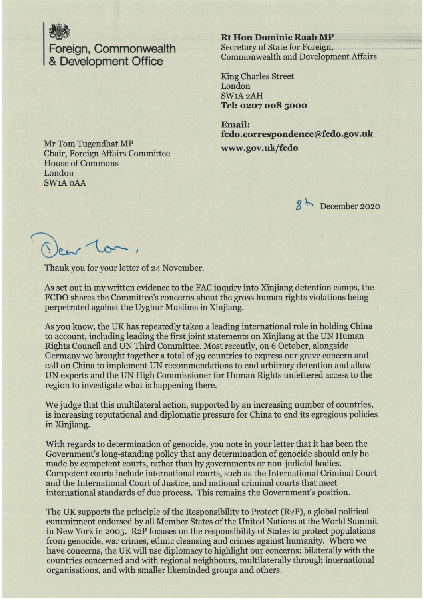

**Rt Hon Dominic Raab MP**<br>
Foreign, Commonwealth Secretary of State for Foreign,<br> **R. Dovelopment Office** Commonwealth and Developm Foreign, Commonwealth **Secretary of State for Foreign**, Commonwealth and Development Affairs & **Development Office** 

King Charles Street London SW1A2AH **Tel: 0207 008 5000** 

**Email: fcdo.correspondence@fcdo.gov.uk** 

Mr Tom Tugendhat MP Chair, Foreign Affairs Committee **www.gov.uk/fcdo**  House of Commons London SWlAoAA

*8* ~ December 2020

 $e_{\alpha}$  ton,

Thank you for your letter of 24 November.

As set out in my written evidence to the FAC inquiry into Xinjiang detention camps, the FCDO shares the Committee's concerns about the gross human rights violations being perpetrated against the Uyghur Muslims in Xinjiang.

As you know, the UK has repeatedly taken a leading international role in holding China to account, including leading the first joint statements on Xinjiang at the UN Human Rights Council and UN Third Committee. Most recently, on 6 October, alongside Germany we brought together a total of 39 countries to express our grave concern and call on China to implement UN recommendations to end arbitrary detention and allow UN experts and the UN High Commissioner for Human Rights unfettered access to the region to investigate what is happening there.

We judge that this multilateral action, supported by an increasing number of countries, is increasing reputational and diplomatic pressure for China to end its egregious policies in Xinjiang.

With regards to determination of genocide, you note in your letter that it has been the Government's long-standing policy that any determination of genocide should only be made by competent courts, rather than by governments or non-judicial bodies. Competent courts include international courts, such as the International Criminal Court and the International Court of Justice, and national criminal courts that meet international standards of due process. This remains the Government's position.

The UK supports the principle of the Responsibility to Protect (R2P), a global political commitment endorsed by all Member States of the United Nations at the World Summit in New York in 2005. R2P focuses on the responsibility of States to protect populations from genocide, war crimes, ethnic cleansing and crimes against humanity. Where we have concerns, the UK will use diplomacy to highlight our concerns: bilaterally with the countries concerned and with regional neighbours, multilaterally through international organisations, and with smaller likeminded groups and others.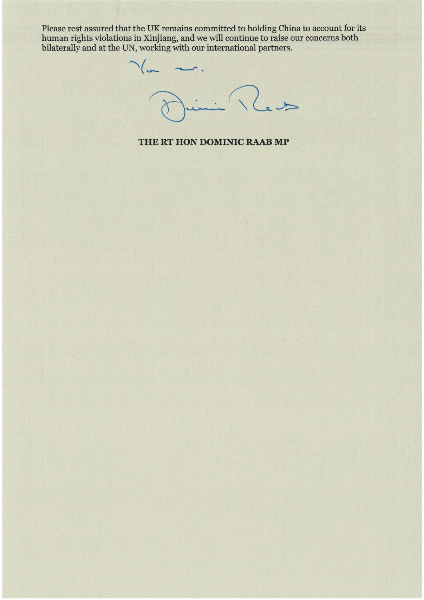Please rest assured that the UK remains committed to holding China to account for its human rights violations in Xinjiang, and we will continue to raise our concerns both bilaterally and at the UN, working with our international partners.

 $\overline{\phantom{a}}$ .  $\frac{1}{2}$ 

## **THE RT HON DOMINIC RAAB MP**